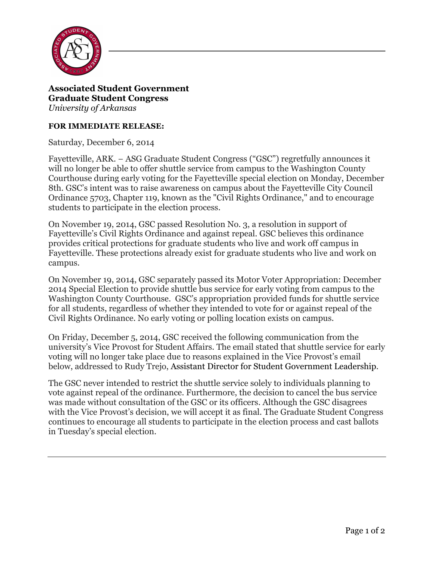

**Associated Student Government Graduate Student Congress** *University of Arkansas*

## **FOR IMMEDIATE RELEASE:**

Saturday, December 6, 2014

Fayetteville, ARK. − ASG Graduate Student Congress ("GSC") regretfully announces it will no longer be able to offer shuttle service from campus to the Washington County Courthouse during early voting for the Fayetteville special election on Monday, December 8th. GSC's intent was to raise awareness on campus about the Fayetteville City Council Ordinance 5703, Chapter 119, known as the "Civil Rights Ordinance," and to encourage students to participate in the election process.

On November 19, 2014, GSC passed Resolution No. 3, a resolution in support of Fayetteville's Civil Rights Ordinance and against repeal. GSC believes this ordinance provides critical protections for graduate students who live and work off campus in Fayetteville. These protections already exist for graduate students who live and work on campus.

On November 19, 2014, GSC separately passed its Motor Voter Appropriation: December 2014 Special Election to provide shuttle bus service for early voting from campus to the Washington County Courthouse. GSC's appropriation provided funds for shuttle service for all students, regardless of whether they intended to vote for or against repeal of the Civil Rights Ordinance. No early voting or polling location exists on campus.

On Friday, December 5, 2014, GSC received the following communication from the university's Vice Provost for Student Affairs. The email stated that shuttle service for early voting will no longer take place due to reasons explained in the Vice Provost's email below, addressed to Rudy Trejo, Assistant Director for Student Government Leadership.

The GSC never intended to restrict the shuttle service solely to individuals planning to vote against repeal of the ordinance. Furthermore, the decision to cancel the bus service was made without consultation of the GSC or its officers. Although the GSC disagrees with the Vice Provost's decision, we will accept it as final. The Graduate Student Congress continues to encourage all students to participate in the election process and cast ballots in Tuesday's special election.